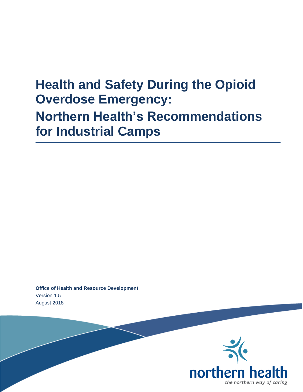# **Health and Safety During the Opioid Overdose Emergency: Northern Health's Recommendations for Industrial Camps**

**Office of Health and Resource Development** Version 1.5 August 2018

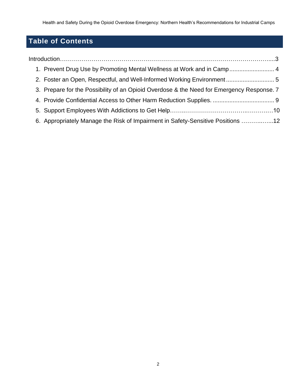# **Table of Contents**

| 1. Prevent Drug Use by Promoting Mental Wellness at Work and in Camp 4                    |  |
|-------------------------------------------------------------------------------------------|--|
| 2. Foster an Open, Respectful, and Well-Informed Working Environment 5                    |  |
| 3. Prepare for the Possibility of an Opioid Overdose & the Need for Emergency Response. 7 |  |
|                                                                                           |  |
|                                                                                           |  |
| 6. Appropriately Manage the Risk of Impairment in Safety-Sensitive Positions 12           |  |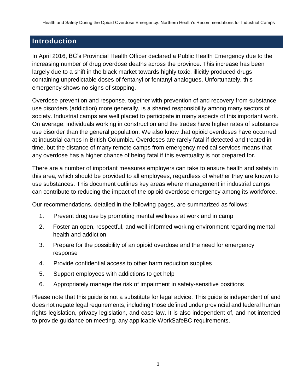#### **Introduction**

In April 2016, BC's Provincial Health Officer declared a Public Health Emergency due to the increasing number of drug overdose deaths across the province. This increase has been largely due to a shift in the black market towards highly toxic, illicitly produced drugs containing unpredictable doses of fentanyl or fentanyl analogues. Unfortunately, this emergency shows no signs of stopping.

Overdose prevention and response, together with prevention of and recovery from substance use disorders (addiction) more generally, is a shared responsibility among many sectors of society. Industrial camps are well placed to participate in many aspects of this important work. On average, individuals working in construction and the trades have higher rates of substance use disorder than the general population. We also know that opioid overdoses have occurred at industrial camps in British Columbia. Overdoses are rarely fatal if detected and treated in time, but the distance of many remote camps from emergency medical services means that any overdose has a higher chance of being fatal if this eventuality is not prepared for.

There are a number of important measures employers can take to ensure health and safety in this area, which should be provided to all employees, regardless of whether they are known to use substances. This document outlines key areas where management in industrial camps can contribute to reducing the impact of the opioid overdose emergency among its workforce.

Our recommendations, detailed in the following pages, are summarized as follows:

- 1. Prevent drug use by promoting mental wellness at work and in camp
- 2. Foster an open, respectful, and well-informed working environment regarding mental health and addiction
- 3. Prepare for the possibility of an opioid overdose and the need for emergency response
- 4. Provide confidential access to other harm reduction supplies
- 5. Support employees with addictions to get help
- 6. Appropriately manage the risk of impairment in safety-sensitive positions

Please note that this guide is not a substitute for legal advice. This guide is independent of and does not negate legal requirements, including those defined under provincial and federal human rights legislation, privacy legislation, and case law. It is also independent of, and not intended to provide guidance on meeting, any applicable WorkSafeBC requirements.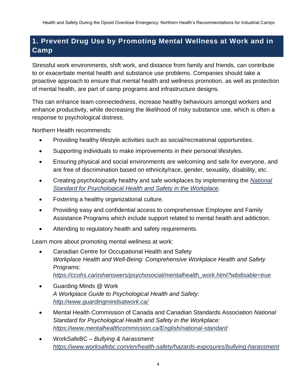# **1. Prevent Drug Use by Promoting Mental Wellness at Work and in Camp**

Stressful work environments, shift work, and distance from family and friends, can contribute to or exacerbate mental health and substance use problems. Companies should take a proactive approach to ensure that mental health and wellness promotion, as well as protection of mental health, are part of camp programs and infrastructure designs.

This can enhance team connectedness, increase healthy behaviours amongst workers and enhance productivity, while decreasing the likelihood of risky substance use, which is often a response to psychological distress.

Northern Health recommends:

- Providing healthy lifestyle activities such as social/recreational opportunities.
- Supporting individuals to make improvements in their personal lifestyles.
- Ensuring physical and social environments are welcoming and safe for everyone, and are free of discrimination based on ethnicity/race, gender, sexuality, disability, etc.
- Creating psychologically healthy and safe workplaces by implementing the *[National](https://www.mentalhealthcommission.ca/English/national-standard)  [Standard for Psychological Health and Safety in the Workplace.](https://www.mentalhealthcommission.ca/English/national-standard)*
- Fostering a healthy organizational culture.
- Providing easy and confidential access to comprehensive Employee and Family Assistance Programs which include support related to mental health and addiction.
- Attending to regulatory health and safety requirements.

Learn more about promoting mental wellness at work:

- Canadian Centre for Occupational Health and Safety *Workplace Health and Well-Being: Comprehensive Workplace Health and Safety Programs: [https://ccohs.ca/oshanswers/psychosocial/mentalhealth\\_work.html?wbdisable=true](https://ccohs.ca/oshanswers/psychosocial/mentalhealth_work.html?wbdisable=true)*
- Guarding Minds @ Work *A Workplace Guide to Psychological Health and Safety: <http://www.guardingmindsatwork.ca/>*
- Mental Health Commission of Canada and Canadian Standards Association *National Standard for Psychological Health and Safety in the Workplace: <https://www.mentalhealthcommission.ca/English/national-standard>*
- WorkSafeBC *Bullying & harassment: <https://www.worksafebc.com/en/health-safety/hazards-exposures/bullying-harassment>*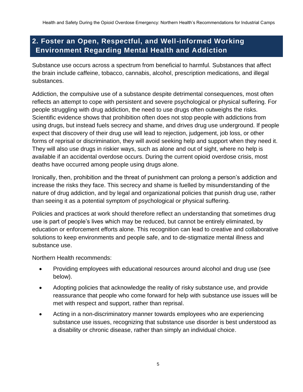# **2. Foster an Open, Respectful, and Well-informed Working Environment Regarding Mental Health and Addiction**

Substance use occurs across a spectrum from beneficial to harmful. Substances that affect the brain include caffeine, tobacco, cannabis, alcohol, prescription medications, and illegal substances.

Addiction, the compulsive use of a substance despite detrimental consequences, most often reflects an attempt to cope with persistent and severe psychological or physical suffering. For people struggling with drug addiction, the need to use drugs often outweighs the risks. Scientific evidence shows that prohibition often does not stop people with addictions from using drugs, but instead fuels secrecy and shame, and drives drug use underground. If people expect that discovery of their drug use will lead to rejection, judgement, job loss, or other forms of reprisal or discrimination, they will avoid seeking help and support when they need it. They will also use drugs in riskier ways, such as alone and out of sight, where no help is available if an accidental overdose occurs. During the current opioid overdose crisis, most deaths have occurred among people using drugs alone.

Ironically, then, prohibition and the threat of punishment can prolong a person's addiction and increase the risks they face. This secrecy and shame is fuelled by misunderstanding of the nature of drug addiction, and by legal and organizational policies that punish drug use, rather than seeing it as a potential symptom of psychological or physical suffering.

Policies and practices at work should therefore reflect an understanding that sometimes drug use is part of people's lives which may be reduced, but cannot be entirely eliminated, by education or enforcement efforts alone. This recognition can lead to creative and collaborative solutions to keep environments and people safe, and to de-stigmatize mental illness and substance use.

Northern Health recommends:

- Providing employees with educational resources around alcohol and drug use (see below).
- Adopting policies that acknowledge the reality of risky substance use, and provide reassurance that people who come forward for help with substance use issues will be met with respect and support, rather than reprisal.
- Acting in a non-discriminatory manner towards employees who are experiencing substance use issues, recognizing that substance use disorder is best understood as a disability or chronic disease, rather than simply an individual choice.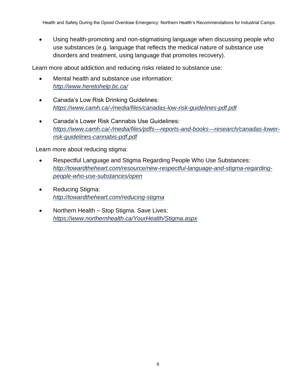Using health-promoting and non-stigmatising language when discussing people who use substances (e.g. language that reflects the medical nature of substance use disorders and treatment, using language that promotes recovery).

Learn more about addiction and reducing risks related to substance use:

- Mental health and substance use information: *<http://www.heretohelp.bc.ca/>*
- Canada's Low Risk Drinking Guidelines: *<https://www.camh.ca/-/media/files/canadas-low-risk-guidelines-pdf.pdf>*
- Canada's Lower Risk Cannabis Use Guidelines: *[https://www.camh.ca/-/media/files/pdfs---reports-and-books---research/canadas-lower](https://www.camh.ca/-/media/files/pdfs---reports-and-books---research/canadas-lower-risk-guidelines-cannabis-pdf.pdf)[risk-guidelines-cannabis-pdf.pdf](https://www.camh.ca/-/media/files/pdfs---reports-and-books---research/canadas-lower-risk-guidelines-cannabis-pdf.pdf)*

Learn more about reducing stigma:

- Respectful Language and Stigma Regarding People Who Use Substances: *[http://towardtheheart.com/resource/new-respectful-language-and-stigma-regarding](http://towardtheheart.com/resource/new-respectful-language-and-stigma-regarding-people-who-use-substances/open)[people-who-use-substances/open](http://towardtheheart.com/resource/new-respectful-language-and-stigma-regarding-people-who-use-substances/open)*
- Reducing Stigma: *<http://towardtheheart.com/reducing-stigma>*
- Northern Health Stop Stigma. Save Lives: *<https://www.northernhealth.ca/YourHealth/Stigma.aspx>*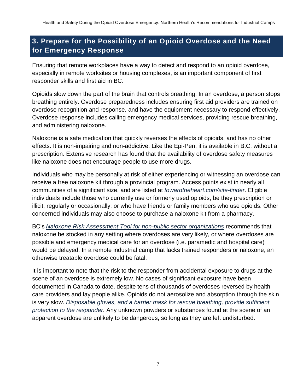# **3. Prepare for the Possibility of an Opioid Overdose and the Need for Emergency Response**

Ensuring that remote workplaces have a way to detect and respond to an opioid overdose, especially in remote worksites or housing complexes, is an important component of first responder skills and first aid in BC.

Opioids slow down the part of the brain that controls breathing. In an overdose, a person stops breathing entirely. Overdose preparedness includes ensuring first aid providers are trained on overdose recognition and response, and have the equipment necessary to respond effectively. Overdose response includes calling emergency medical services, providing rescue breathing, and administering naloxone.

Naloxone is a safe medication that quickly reverses the effects of opioids, and has no other effects. It is non-impairing and non-addictive. Like the Epi-Pen, it is available in B.C. without a prescription. Extensive research has found that the availability of overdose safety measures like naloxone does not encourage people to use more drugs.

Individuals who may be personally at risk of either experiencing or witnessing an overdose can receive a free naloxone kit through a provincial program. Access points exist in nearly all communities of a significant size, and are listed at *[towardtheheart.com/site-finder](http://www.towardtheheart.com/site-finder)*. Eligible individuals include those who currently use or formerly used opioids, be they prescription or illicit, regularly or occasionally; or who have friends or family members who use opioids. Other concerned individuals may also choose to purchase a naloxone kit from a pharmacy.

BC's *[Naloxone Risk Assessment Tool for non-public sector organizations](http://www2.gov.bc.ca/assets/gov/overdose-awareness/naloxone_risk_assessment_-_non-governmental_sectors.pdf)* recommends that naloxone be stocked in any setting where overdoses are very likely, or where overdoses are possible and emergency medical care for an overdose (i.e. paramedic and hospital care) would be delayed. In a remote industrial camp that lacks trained responders or naloxone, an otherwise treatable overdose could be fatal.

It is important to note that the risk to the responder from accidental exposure to drugs at the scene of an overdose is extremely low. No cases of significant exposure have been documented in Canada to date, despite tens of thousands of overdoses reversed by health care providers and lay people alike. Opioids do not aerosolize and absorption through the skin is very slow. *[Disposable gloves, and a barrier mask for rescue breathing, provide sufficient](https://www.fentanylsafety.com/wp-content/uploads/UpdatedGuidance-statement-PPE-EMS-HCW-Jan2017.pdf)  [protection to the responder.](https://www.fentanylsafety.com/wp-content/uploads/UpdatedGuidance-statement-PPE-EMS-HCW-Jan2017.pdf)* Any unknown powders or substances found at the scene of an apparent overdose are unlikely to be dangerous, so long as they are left undisturbed.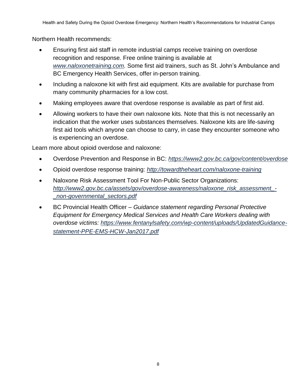Northern Health recommends:

- Ensuring first aid staff in remote industrial camps receive training on overdose recognition and response. Free online training is available at *[www.naloxonetraining.com.](http://www.naloxonetraining.com/)* Some first aid trainers, such as St. John's Ambulance and BC Emergency Health Services, offer in-person training.
- Including a naloxone kit with first aid equipment. Kits are available for purchase from many community pharmacies for a low cost.
- Making employees aware that overdose response is available as part of first aid.
- Allowing workers to have their own naloxone kits. Note that this is not necessarily an indication that the worker uses substances themselves. Naloxone kits are life-saving first aid tools which anyone can choose to carry, in case they encounter someone who is experiencing an overdose.

Learn more about opioid overdose and naloxone:

- Overdose Prevention and Response in BC: *<https://www2.gov.bc.ca/gov/content/overdose>*
- Opioid overdose response training: *<http://towardtheheart.com/naloxone-training>*
- Naloxone Risk Assessment Tool For Non-Public Sector Organizations: *[http://www2.gov.bc.ca/assets/gov/overdose-awareness/naloxone\\_risk\\_assessment\\_-](http://www2.gov.bc.ca/assets/gov/overdose-awareness/naloxone_risk_assessment_-_non-governmental_sectors.pdf) [\\_non-governmental\\_sectors.pdf](http://www2.gov.bc.ca/assets/gov/overdose-awareness/naloxone_risk_assessment_-_non-governmental_sectors.pdf)*
- BC Provincial Health Officer *Guidance statement regarding Personal Protective Equipment for Emergency Medical Services and Health Care Workers dealing with overdose victims: [https://www.fentanylsafety.com/wp-content/uploads/UpdatedGuidance](ttps://www.fentanylsafety.com/wp-content/uploads/UpdatedGuidance-statement-PPE-E)[statement-PPE-EM](ttps://www.fentanylsafety.com/wp-content/uploads/UpdatedGuidance-statement-PPE-E)S-HCW-Jan2017.pdf***.**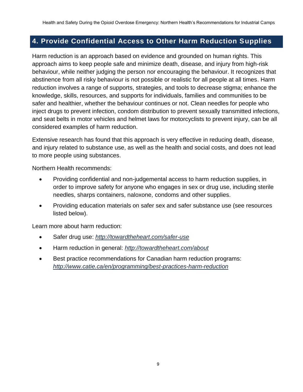#### **4. Provide Confidential Access to Other Harm Reduction Supplies**

Harm reduction is an approach based on evidence and grounded on human rights. This approach aims to keep people safe and minimize death, disease, and injury from high-risk behaviour, while neither judging the person nor encouraging the behaviour. It recognizes that abstinence from all risky behaviour is not possible or realistic for all people at all times. Harm reduction involves a range of supports, strategies, and tools to decrease stigma; enhance the knowledge, skills, resources, and supports for individuals, families and communities to be safer and healthier, whether the behaviour continues or not. Clean needles for people who inject drugs to prevent infection, condom distribution to prevent sexually transmitted infections, and seat belts in motor vehicles and helmet laws for motorcyclists to prevent injury, can be all considered examples of harm reduction.

Extensive research has found that this approach is very effective in reducing death, disease, and injury related to substance use, as well as the health and social costs, and does not lead to more people using substances.

Northern Health recommends:

- Providing confidential and non-judgemental access to harm reduction supplies, in order to improve safety for anyone who engages in sex or drug use, including sterile needles, sharps containers, naloxone, condoms and other supplies.
- Providing education materials on safer sex and safer substance use (see resources listed below).

Learn more about harm reduction:

- Safer drug use: *<http://towardtheheart.com/safer-use>*
- Harm reduction in general: *<http://towardtheheart.com/about>*
- Best practice recommendations for Canadian harm reduction programs: *<http://www.catie.ca/en/programming/best-practices-harm-reduction>*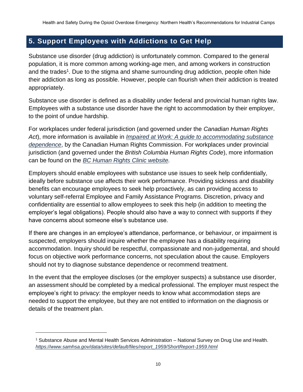#### **5. Support Employees with Addictions to Get Help**

Substance use disorder (drug addiction) is unfortunately common. Compared to the general population, it is more common among working-age men, and among workers in construction and the trades<sup>1</sup>. Due to the stigma and shame surrounding drug addiction, people often hide their addiction as long as possible. However, people can flourish when their addiction is treated appropriately.

Substance use disorder is defined as a disability under federal and provincial human rights law. Employees with a substance use disorder have the right to accommodation by their employer, to the point of undue hardship.

For workplaces under federal jurisdiction (and governed under the *Canadian Human Rights Act*), more information is available in *[Impaired at Work: A guide to accommodating substance](https://www.chrc-ccdp.gc.ca/eng/content/impaired-work-guide-accommodating-substance-dependence)  [dependence](https://www.chrc-ccdp.gc.ca/eng/content/impaired-work-guide-accommodating-substance-dependence)*, by the Canadian Human Rights Commission. For workplaces under provincial jurisdiction (and governed under the *British Columbia Human Rights Code*), more information can be found on the *[BC Human Rights Clinic website.](http://www.bchrc.net/)*

Employers should enable employees with substance use issues to seek help confidentially, ideally before substance use affects their work performance. Providing sickness and disability benefits can encourage employees to seek help proactively, as can providing access to voluntary self-referral Employee and Family Assistance Programs. Discretion, privacy and confidentiality are essential to allow employees to seek this help (in addition to meeting the employer's legal obligations). People should also have a way to connect with supports if they have concerns about someone else's substance use.

If there are changes in an employee's attendance, performance, or behaviour, or impairment is suspected, employers should inquire whether the employee has a disability requiring accommodation. Inquiry should be respectful, compassionate and non-judgemental, and should focus on objective work performance concerns, not speculation about the cause. Employers should not try to diagnose substance dependence or recommend treatment.

In the event that the employee discloses (or the employer suspects) a substance use disorder, an assessment should be completed by a medical professional. The employer must respect the employee's right to privacy: the employer needs to know what accommodation steps are needed to support the employee, but they are not entitled to information on the diagnosis or details of the treatment plan.

 $\overline{a}$ 

<sup>1</sup> Substance Abuse and Mental Health Services Administration – National Survey on Drug Use and Health. *[https://www.samhsa.gov/data/sites/default/files/report\\_1959/ShortReport-1959.html](https://www.samhsa.gov/data/sites/default/files/report_1959/ShortReport-1959.html)*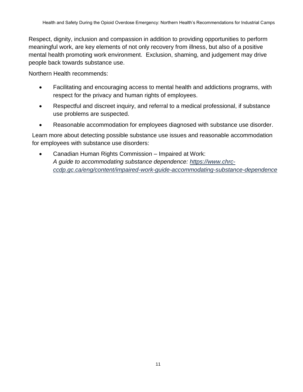Respect, dignity, inclusion and compassion in addition to providing opportunities to perform meaningful work, are key elements of not only recovery from illness, but also of a positive mental health promoting work environment. Exclusion, shaming, and judgement may drive people back towards substance use.

Northern Health recommends:

- Facilitating and encouraging access to mental health and addictions programs, with respect for the privacy and human rights of employees.
- Respectful and discreet inquiry, and referral to a medical professional, if substance use problems are suspected.
- Reasonable accommodation for employees diagnosed with substance use disorder.

Learn more about detecting possible substance use issues and reasonable accommodation for employees with substance use disorders:

 Canadian Human Rights Commission – Impaired at Work: *A guide to accommodating substance dependence: [https://www.chrc](https://www.chrc-ccdp.gc.ca/eng/content/impaired-work-guide-accommodating-substance-dependence)[ccdp.gc.ca/eng/content/impaired-work-guide-accommodating-substance-dependence](https://www.chrc-ccdp.gc.ca/eng/content/impaired-work-guide-accommodating-substance-dependence)*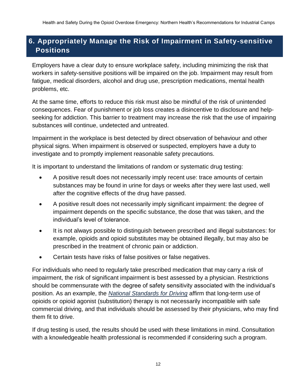#### **6. Appropriately Manage the Risk of Impairment in Safety-sensitive Positions**

Employers have a clear duty to ensure workplace safety, including minimizing the risk that workers in safety-sensitive positions will be impaired on the job. Impairment may result from fatigue, medical disorders, alcohol and drug use, prescription medications, mental health problems, etc.

At the same time, efforts to reduce this risk must also be mindful of the risk of unintended consequences. Fear of punishment or job loss creates a disincentive to disclosure and helpseeking for addiction. This barrier to treatment may increase the risk that the use of impairing substances will continue, undetected and untreated.

Impairment in the workplace is best detected by direct observation of behaviour and other physical signs. When impairment is observed or suspected, employers have a duty to investigate and to promptly implement reasonable safety precautions.

It is important to understand the limitations of random or systematic drug testing:

- A positive result does not necessarily imply recent use: trace amounts of certain substances may be found in urine for days or weeks after they were last used, well after the cognitive effects of the drug have passed.
- A positive result does not necessarily imply significant impairment: the degree of impairment depends on the specific substance, the dose that was taken, and the individual's level of tolerance.
- It is not always possible to distinguish between prescribed and illegal substances: for example, opioids and opioid substitutes may be obtained illegally, but may also be prescribed in the treatment of chronic pain or addiction.
- Certain tests have risks of false positives or false negatives.

For individuals who need to regularly take prescribed medication that may carry a risk of impairment, the risk of significant impairment is best assessed by a physician. Restrictions should be commensurate with the degree of safety sensitivity associated with the individual's position. As an example, the *[National Standards for Driving](http://ccmta.ca/images/publications/pdf/Determining-Driver-Fitness-In-Canada-Final.pdf)* affirm that long-term use of opioids or opioid agonist (substitution) therapy is not necessarily incompatible with safe commercial driving, and that individuals should be assessed by their physicians, who may find them fit to drive.

If drug testing is used, the results should be used with these limitations in mind. Consultation with a knowledgeable health professional is recommended if considering such a program.